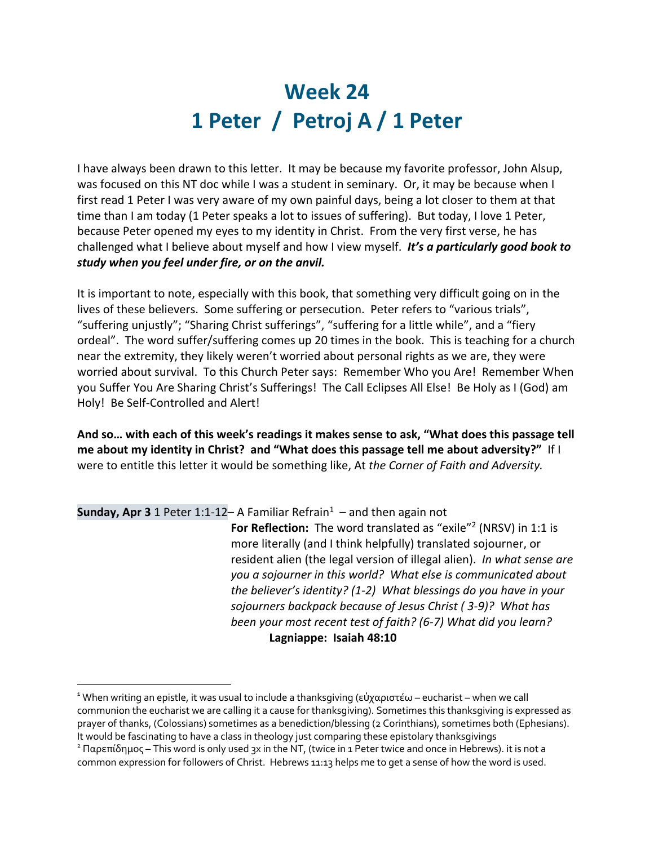## **Week 24 1 Peter / Petroj A / 1 Peter**

I have always been drawn to this letter. It may be because my favorite professor, John Alsup, was focused on this NT doc while I was a student in seminary. Or, it may be because when I first read 1 Peter I was very aware of my own painful days, being a lot closer to them at that time than I am today (1 Peter speaks a lot to issues of suffering). But today, I love 1 Peter, because Peter opened my eyes to my identity in Christ. From the very first verse, he has challenged what I believe about myself and how I view myself. *It's a particularly good book to study when you feel under fire, or on the anvil.* 

It is important to note, especially with this book, that something very difficult going on in the lives of these believers. Some suffering or persecution. Peter refers to "various trials", "suffering unjustly"; "Sharing Christ sufferings", "suffering for a little while", and a "fiery ordeal". The word suffer/suffering comes up 20 times in the book. This is teaching for a church near the extremity, they likely weren't worried about personal rights as we are, they were worried about survival. To this Church Peter says: Remember Who you Are! Remember When you Suffer You Are Sharing Christ's Sufferings! The Call Eclipses All Else! Be Holy as I (God) am Holy! Be Self-Controlled and Alert!

**And so… with each of this week's readings it makes sense to ask, "What does this passage tell me about my identity in Christ? and "What does this passage tell me about adversity?"** If I were to entitle this letter it would be something like, At *the Corner of Faith and Adversity.*

**Sunday, Apr 3** 1 Peter 1:1-12– A Familiar Refrain<sup>1</sup> – and then again not

**For Reflection:** The word translated as "exile"<sup>2</sup> (NRSV) in 1:1 is more literally (and I think helpfully) translated sojourner, or resident alien (the legal version of illegal alien).*In what sense are you a sojourner in this world? What else is communicated about the believer's identity? (1-2) What blessings do you have in your sojourners backpack because of Jesus Christ ( 3-9)? What has been your most recent test of faith? (6-7) What did you learn?* **Lagniappe: Isaiah 48:10**

<sup>&</sup>lt;sup>1</sup> When writing an epistle, it was usual to include a thanksgiving (εὐχαριστέω – eucharist – when we call communion the eucharist we are calling it a cause for thanksgiving). Sometimes this thanksgiving is expressed as prayer of thanks, (Colossians) sometimes as a benediction/blessing (2 Corinthians), sometimes both (Ephesians). It would be fascinating to have a class in theology just comparing these epistolary thanksgivings<br><sup>2</sup> Παρεπίδημος – This word is only used 3x in the NT, (twice in 1 Peter twice and once in Hebrews). it is not a

common expression for followers of Christ. Hebrews 11:13 helps me to get a sense of how the word is used.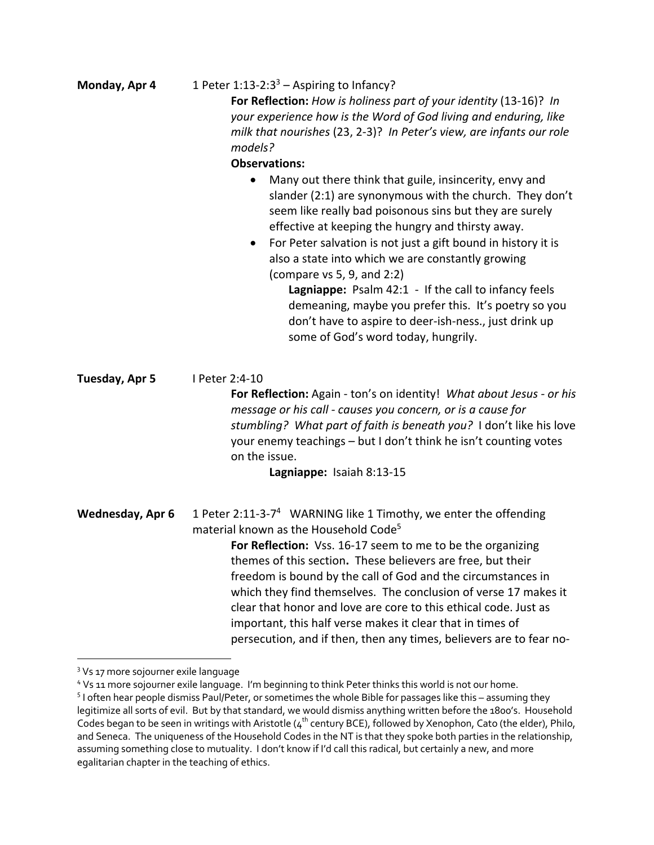| Monday, Apr 4    | 1 Peter $1:13-2:3^3$ – Aspiring to Infancy?<br>For Reflection: How is holiness part of your identity (13-16)? In                                                                                                                                                                                                                                                                                                                                                                                                                                                                                           |
|------------------|------------------------------------------------------------------------------------------------------------------------------------------------------------------------------------------------------------------------------------------------------------------------------------------------------------------------------------------------------------------------------------------------------------------------------------------------------------------------------------------------------------------------------------------------------------------------------------------------------------|
|                  | your experience how is the Word of God living and enduring, like<br>milk that nourishes (23, 2-3)? In Peter's view, are infants our role                                                                                                                                                                                                                                                                                                                                                                                                                                                                   |
|                  | models?                                                                                                                                                                                                                                                                                                                                                                                                                                                                                                                                                                                                    |
|                  | <b>Observations:</b>                                                                                                                                                                                                                                                                                                                                                                                                                                                                                                                                                                                       |
|                  | Many out there think that guile, insincerity, envy and<br>$\bullet$<br>slander (2:1) are synonymous with the church. They don't<br>seem like really bad poisonous sins but they are surely<br>effective at keeping the hungry and thirsty away.<br>For Peter salvation is not just a gift bound in history it is<br>$\bullet$<br>also a state into which we are constantly growing<br>(compare vs 5, 9, and 2:2)                                                                                                                                                                                           |
|                  | Lagniappe: Psalm 42:1 - If the call to infancy feels<br>demeaning, maybe you prefer this. It's poetry so you<br>don't have to aspire to deer-ish-ness., just drink up<br>some of God's word today, hungrily.                                                                                                                                                                                                                                                                                                                                                                                               |
| Tuesday, Apr 5   | I Peter 2:4-10<br>For Reflection: Again - ton's on identity! What about Jesus - or his<br>message or his call - causes you concern, or is a cause for<br>stumbling? What part of faith is beneath you? I don't like his love<br>your enemy teachings - but I don't think he isn't counting votes<br>on the issue.<br>Lagniappe: Isaiah 8:13-15                                                                                                                                                                                                                                                             |
|                  |                                                                                                                                                                                                                                                                                                                                                                                                                                                                                                                                                                                                            |
| Wednesday, Apr 6 | 1 Peter 2:11-3-7 <sup>4</sup> WARNING like 1 Timothy, we enter the offending<br>material known as the Household Code <sup>5</sup><br>For Reflection: Vss. 16-17 seem to me to be the organizing<br>themes of this section. These believers are free, but their<br>freedom is bound by the call of God and the circumstances in<br>which they find themselves. The conclusion of verse 17 makes it<br>clear that honor and love are core to this ethical code. Just as<br>important, this half verse makes it clear that in times of<br>persecution, and if then, then any times, believers are to fear no- |
|                  |                                                                                                                                                                                                                                                                                                                                                                                                                                                                                                                                                                                                            |

<sup>&</sup>lt;sup>3</sup> Vs 17 more sojourner exile language

<sup>4</sup> Vs 11 more sojourner exile language. I'm beginning to think Peter thinks this world is not our home.

<sup>5</sup> I often hear people dismiss Paul/Peter, or sometimes the whole Bible for passages like this – assuming they legitimize all sorts of evil. But by that standard, we would dismiss anything written before the 1800's. Household Codes began to be seen in writings with Aristotle ( $4^{\text{th}}$  century BCE), followed by Xenophon, Cato (the elder), Philo, and Seneca. The uniqueness of the Household Codes in the NT is that they spoke both parties in the relationship, assuming something close to mutuality. I don't know if I'd call this radical, but certainly a new, and more egalitarian chapter in the teaching of ethics.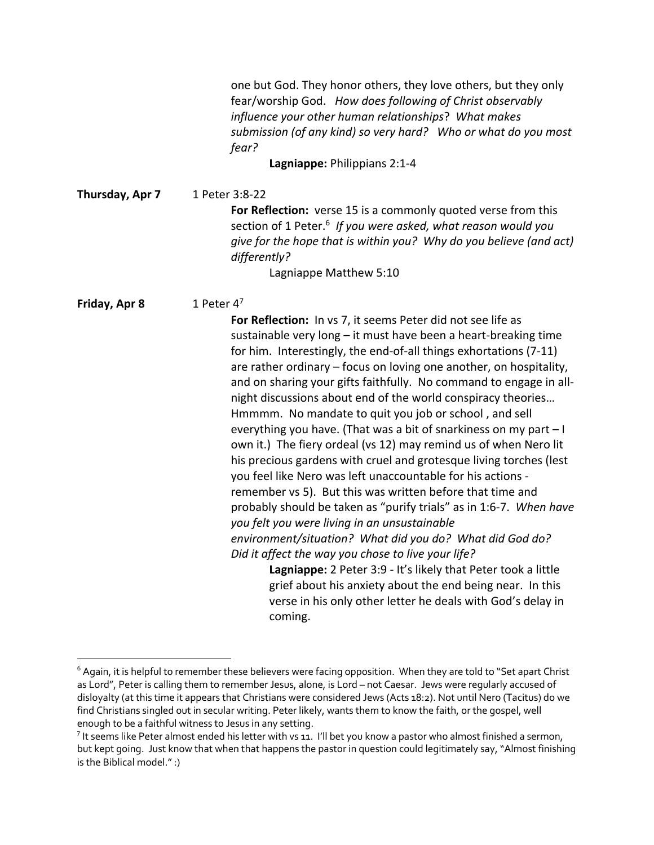one but God. They honor others, they love others, but they only fear/worship God.*How does following of Christ observably influence your other human relationships*? *What makes submission (of any kind) so very hard? Who or what do you most fear?* **Lagniappe:** Philippians 2:1-4 **Thursday, Apr 7** 1 Peter 3:8-22 **For Reflection:** verse 15 is a commonly quoted verse from this section of 1 Peter.6 *If you were asked, what reason would you give for the hope that is within you? Why do you believe (and act) differently?* Lagniappe Matthew 5:10 **Friday, Apr 8** 1 Peter 4<sup>7</sup> **For Reflection:** In vs 7, it seems Peter did not see life as sustainable very long – it must have been a heart-breaking time for him. Interestingly, the end-of-all things exhortations (7-11) are rather ordinary – focus on loving one another, on hospitality, and on sharing your gifts faithfully. No command to engage in allnight discussions about end of the world conspiracy theories… Hmmmm. No mandate to quit you job or school , and sell everything you have. (That was a bit of snarkiness on my part – I own it.) The fiery ordeal (vs 12) may remind us of when Nero lit his precious gardens with cruel and grotesque living torches (lest you feel like Nero was left unaccountable for his actions remember vs 5). But this was written before that time and probably should be taken as "purify trials" as in 1:6-7. *When have you felt you were living in an unsustainable environment/situation? What did you do? What did God do? Did it affect the way you chose to live your life?* **Lagniappe:** 2 Peter 3:9 - It's likely that Peter took a little grief about his anxiety about the end being near. In this verse in his only other letter he deals with God's delay in coming.

 $6$  Again, it is helpful to remember these believers were facing opposition. When they are told to "Set apart Christ as Lord", Peter is calling them to remember Jesus, alone, is Lord – not Caesar. Jews were regularly accused of disloyalty (at this time it appears that Christians were considered Jews (Acts 18:2). Not until Nero (Tacitus) do we find Christians singled out in secular writing. Peter likely, wants them to know the faith, or the gospel, well enough to be a faithful witness to Jesus in any setting.

 $^7$  It seems like Peter almost ended his letter with vs 11. I'll bet you know a pastor who almost finished a sermon, but kept going. Just know that when that happens the pastor in question could legitimately say,"Almost finishing is the Biblical model.":)